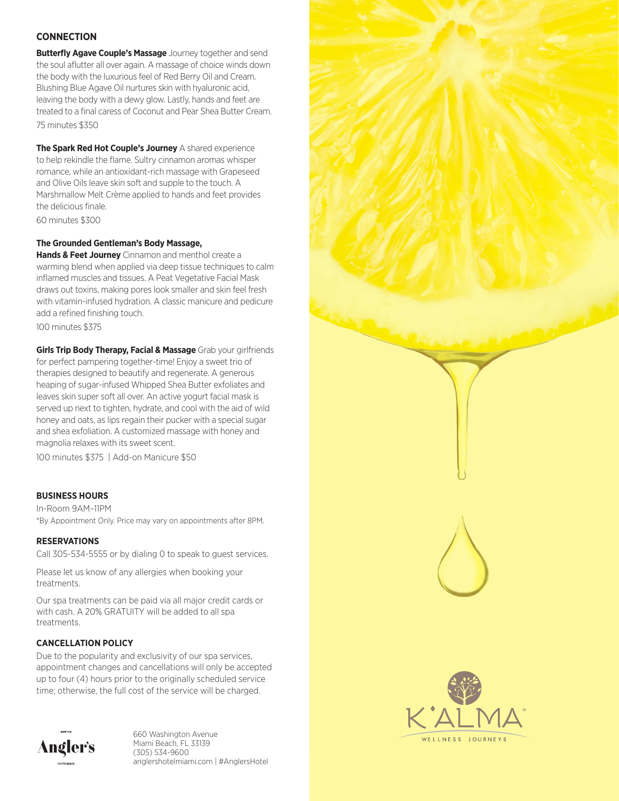# **CONNECTION**

**Butterfly Agave Couple's Massage** Journey together and send the soul aflutter all over again. A massage of choice winds down the body with the luxurious feel of Red Berry Oil and Cream. Blushing Blue Agave Oil nurtures skin with hyaluronic acid, leaving the body with a dewy glow. Lastly, hands and feet are treated to a final caress of Coconut and Pear Shea Butter Cream. 75 minutes \$350

**The Spark Red Hot Couple's Journey** A shared experience to help rekindle the flame. Sultry cinnamon aromas whisper romance, while an antioxidant-rich massage with Grapeseed and Olive Oils leave skin soft and supple to the touch. A Marshmallow Melt Crème applied to hands and feet provides the delicious finale.

60 minutes \$300

### **The Grounded Gentleman's Body Massage,**

**Hands & Feet Journey** Cinnamon and menthol create a warming blend when applied via deep tissue techniques to calm inflamed muscles and tissues. A Peat Vegetative Facial Mask draws out toxins, making pores look smaller and skin feel fresh with vitamin-infused hydration. A classic manicure and pedicure add a refined finishing touch.

100 minutes \$375

**Girls Trip Body Therapy, Facial & Massage** Grab your girlfriends for perfect pampering together-time! Enjoy a sweet trio of therapies designed to beautify and regenerate. A generous heaping of sugar-infused Whipped Shea Butter exfoliates and leaves skin super soft all over. An active yogurt facial mask is served up next to tighten, hydrate, and cool with the aid of wild honey and oats, as lips regain their pucker with a special sugar and shea exfoliation. A customized massage with honey and magnolia relaxes with its sweet scent.

100 minutes \$375 | Add-on Manicure \$50

## **BUSINESS HOURS**

In-Room 9AM–11PM \*By Appointment Only. Price may vary on appointments after 8PM.

#### **RESERVATIONS**

Call 305-534-5555 or by dialing 0 to speak to guest services.

Please let us know of any allergies when booking your treatments.

Our spa treatments can be paid via all major credit cards or with cash. A 20% GRATUITY will be added to all spa treatments.

## **CANCELLATION POLICY**

Due to the popularity and exclusivity of our spa services, appointment changes and cancellations will only be accepted up to four (4) hours prior to the originally scheduled service time; otherwise, the full cost of the service will be charged.



660 Washington Avenue Miami Beach, FL 33139 (305) 534-9600 anglershotelmiami.com | #AnglersHotel